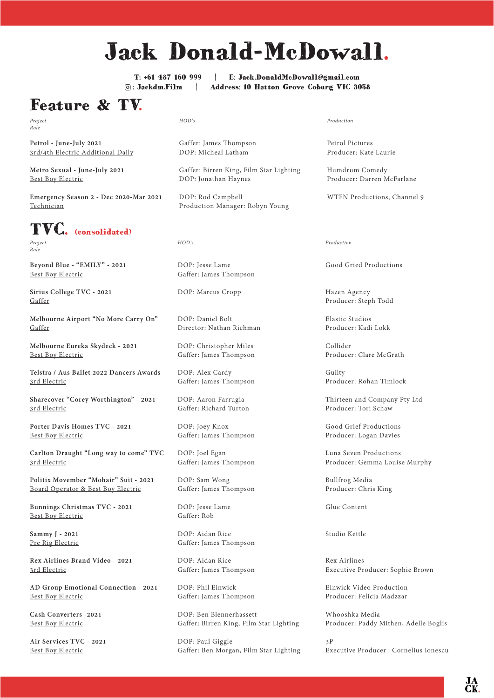# Jack Donald-McDowall.

T: +61 487 160 999 | E: Jack.DonaldMcDowall@gmail.com : Jackdm.Film | Address: 10 Hatton Grove Coburg VIC 3058

## Feature & TV.

*Project Role*

**Petrol - June-July 2021** 3rd/4th Electric Additional Daily

**Metro Sexual - June-July 2021** Best Boy Electric

**Emergency Season 2 - Dec 2020-Mar 2021** Technician

## TVC. (consolidated)

*Project Role*

**Beyond Blue - "EMILY" - 2021** Best Boy Electric

**Sirius College TVC - 2021** Gaffer

**Melbourne Airport "No More Carry On"** Gaffer

**Melbourne Eureka Skydeck - 2021** Best Boy Electric

**Telstra / Aus Ballet 2022 Dancers Awards** 3rd Electric

**Sharecover "Corey Worthington" - 2021** 3rd Electric

**Porter Davis Homes TVC - 2021** Best Boy Electric

**Carlton Draught "Long way to come" TVC**  3rd Electric

**Politix Movember "Mohair" Suit - 2021** Board Operator & Best Boy Electric

**Bunnings Christmas TVC - 2021** Best Boy Electric

**Sammy J - 2021** Pre Rig Electric

**Rex Airlines Brand Video - 2021** 3rd Electric

**AD Group Emotional Connection - 2021** Best Boy Electric

**Cash Converters -2021** Best Boy Electric

**Air Services TVC - 2021** Best Boy Electric

*HOD's*

Gaffer: James Thompson DOP: Micheal Latham

Gaffer: Birren King, Film Star Lighting DOP: Jonathan Haynes

DOP: Rod Campbell Production Manager: Robyn Young

#### *HOD's*

DOP: Jesse Lame Gaffer: James Thompson

DOP: Marcus Cropp

DOP: Daniel Bolt Director: Nathan Richman

DOP: Christopher Miles Gaffer: James Thompson

DOP: Alex Cardy Gaffer: James Thompson

DOP: Aaron Farrugia Gaffer: Richard Turton

DOP: Joey Knox Gaffer: James Thompson

DOP: Joel Egan Gaffer: James Thompson

DOP: Sam Wong Gaffer: James Thompson

DOP: Jesse Lame Gaffer: Rob

DOP: Aidan Rice Gaffer: James Thompson

DOP: Aidan Rice Gaffer: James Thompson

DOP: Phil Einwick Gaffer: James Thompson

DOP: Ben Blennerhassett Gaffer: Birren King, Film Star Lighting

DOP: Paul Giggle Gaffer: Ben Morgan, Film Star Lighting

#### *Production*

Petrol Pictures Producer: Kate Laurie

Humdrum Comedy Producer: Darren McFarlane

WTFN Productions, Channel 9

#### *Production*

Good Gried Productions

Hazen Agency Producer: Steph Todd

Elastic Studios Producer: Kadi Lokk

Collider Producer: Clare McGrath

Guilty Producer: Rohan Timlock

Thirteen and Company Pty Ltd Producer: Tori Schaw

Good Grief Productions Producer: Logan Davies

Luna Seven Productions Producer: Gemma Louise Murphy

Bullfrog Media Producer: Chris King

Glue Content

Studio Kettle

Rex Airlines Executive Producer: Sophie Brown

Einwick Video Production Producer: Felicia Madzzar

Whooshka Media Producer: Paddy Mithen, Adelle Boglis

3P Executive Producer : Cornelius Ionescu

JA<br>CK